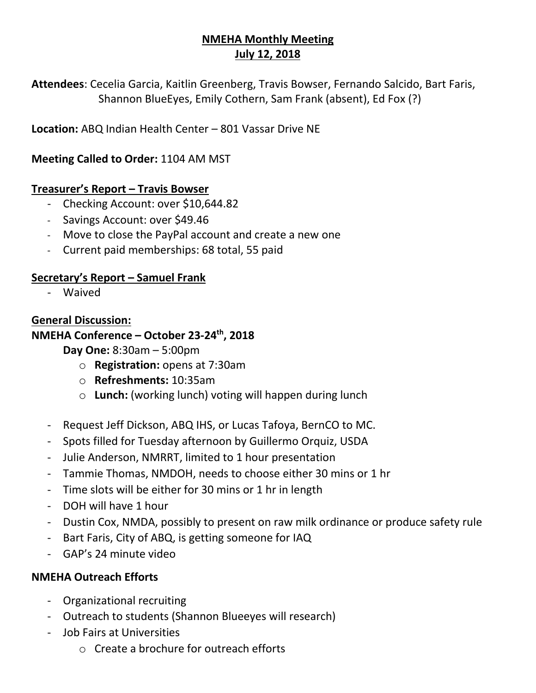# **NMEHA Monthly Meeting July 12, 2018**

**Attendees**: Cecelia Garcia, Kaitlin Greenberg, Travis Bowser, Fernando Salcido, Bart Faris, Shannon BlueEyes, Emily Cothern, Sam Frank (absent), Ed Fox (?)

**Location:** ABQ Indian Health Center – 801 Vassar Drive NE

**Meeting Called to Order:** 1104 AM MST

#### **Treasurer's Report – Travis Bowser**

- Checking Account: over \$10,644.82
- Savings Account: over \$49.46
- Move to close the PayPal account and create a new one
- Current paid memberships: 68 total, 55 paid

### **Secretary's Report – Samuel Frank**

- Waived

### **General Discussion:**

### **NMEHA Conference – October 23-24th, 2018**

**Day One:** 8:30am – 5:00pm

- o **Registration:** opens at 7:30am
- o **Refreshments:** 10:35am
- o **Lunch:** (working lunch) voting will happen during lunch
- Request Jeff Dickson, ABQ IHS, or Lucas Tafoya, BernCO to MC.
- Spots filled for Tuesday afternoon by Guillermo Orquiz, USDA
- Julie Anderson, NMRRT, limited to 1 hour presentation
- Tammie Thomas, NMDOH, needs to choose either 30 mins or 1 hr
- Time slots will be either for 30 mins or 1 hr in length
- DOH will have 1 hour
- Dustin Cox, NMDA, possibly to present on raw milk ordinance or produce safety rule
- Bart Faris, City of ABQ, is getting someone for IAQ
- GAP's 24 minute video

## **NMEHA Outreach Efforts**

- Organizational recruiting
- Outreach to students (Shannon Blueeyes will research)
- Job Fairs at Universities
	- o Create a brochure for outreach efforts